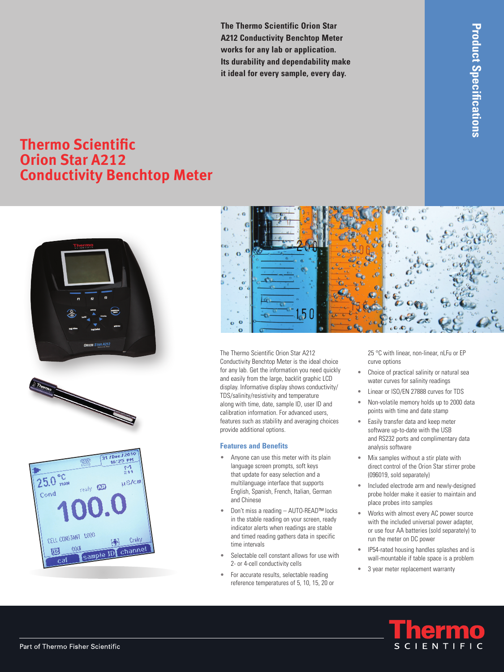**The Thermo Scientific Orion Star A212 Conductivity Benchtop Meter works for any lab or application. Its durability and dependability make it ideal for every sample, every day.**

## **Thermo Scientific Orion Star A212 Conductivity Benchtop Meter**









The Thermo Scientific Orion Star A212 Conductivity Benchtop Meter is the ideal choice for any lab. Get the information you need quickly and easily from the large, backlit graphic LCD display. Informative display shows conductivity/ TDS/salinity/resistivity and temperature along with time, date, sample ID, user ID and calibration information. For advanced users, features such as stability and averaging choices provide additional options.

## **Features and Benefits**

- Anyone can use this meter with its plain language screen prompts, soft keys that update for easy selection and a multilanguage interface that supports English, Spanish, French, Italian, German and Chinese
- Don't miss a reading AUTO-READ™ locks in the stable reading on your screen, ready indicator alerts when readings are stable and timed reading gathers data in specific time intervals
- Selectable cell constant allows for use with 2- or 4-cell conductivity cells
- For accurate results, selectable reading reference temperatures of 5, 10, 15, 20 or

25 °C with linear, non-linear, nLFu or EP curve options

- Choice of practical salinity or natural sea water curves for salinity readings
- Linear or ISO/EN 27888 curves for TDS
- Non-volatile memory holds up to 2000 data points with time and date stamp
- Easily transfer data and keep meter software up-to-date with the USB and RS232 ports and complimentary data analysis software
- • Mix samples without a stir plate with direct control of the Orion Star stirrer probe (096019, sold separately)
- Included electrode arm and newly-designed probe holder make it easier to maintain and place probes into samples
- Works with almost every AC power source with the included universal power adapter, or use four AA batteries (sold separately) to run the meter on DC power
- IP54-rated housing handles splashes and is wall-mountable if table space is a problem
- 3 year meter replacement warranty